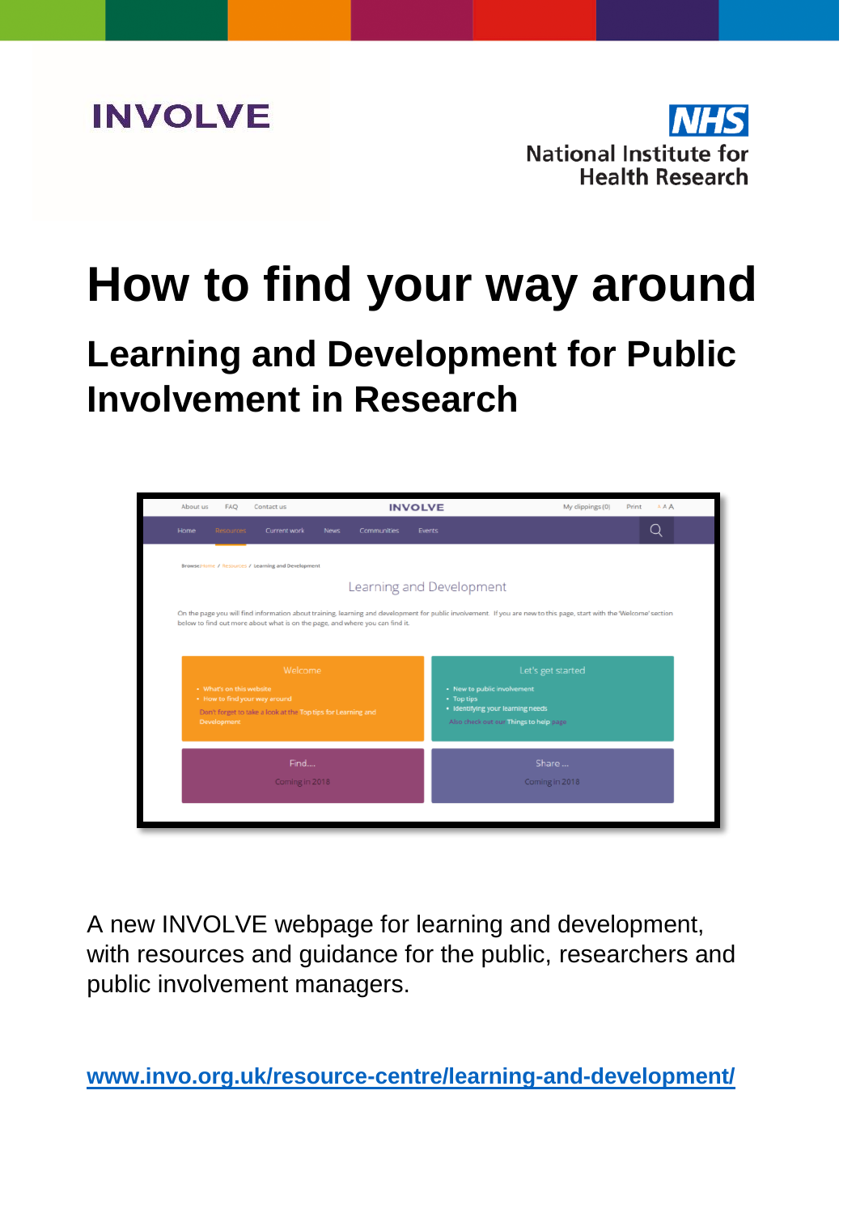



# **How to find your way around**

**Learning and Development for Public Involvement in Research**



A new INVOLVE webpage for learning and development, with resources and guidance for the public, researchers and public involvement managers.

**[www.invo.org.uk/resource-centre/learning-and-development/](http://www.invo.org.uk/resource-centre/learning-and-development/)**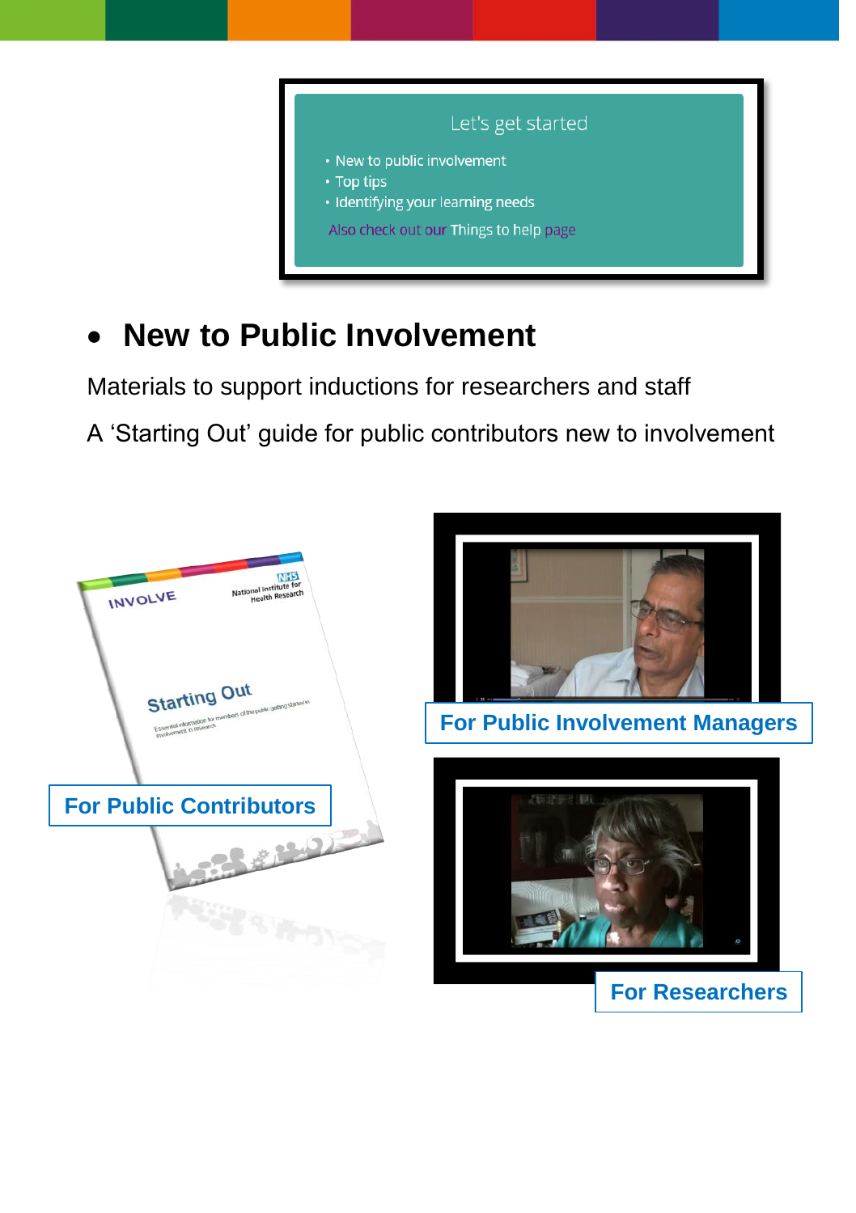

### **New to Public Involvement**

Materials to support inductions for researchers and staff

A 'Starting Out' guide for public contributors new to involvement

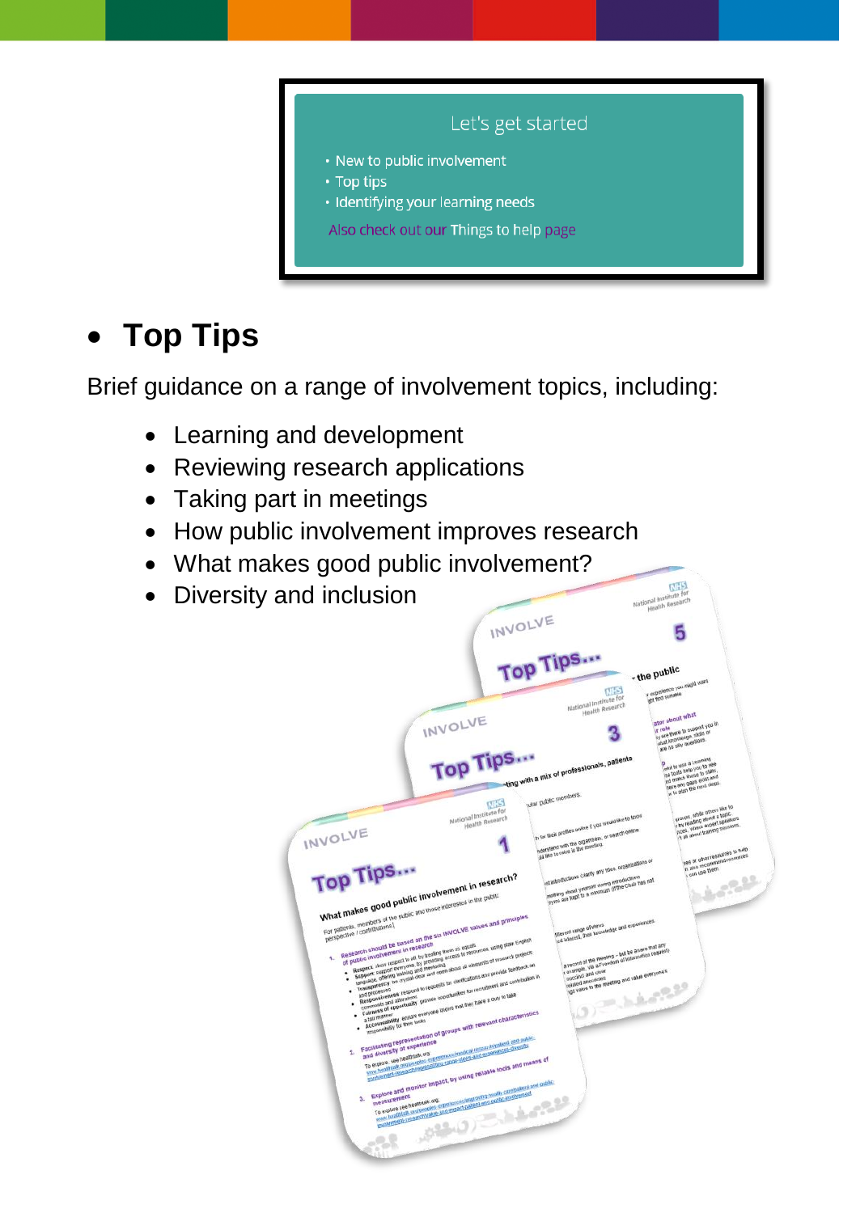

## **Top Tips**

Brief guidance on a range of involvement topics, including:

- Learning and development
- Reviewing research applications
- Taking part in meetings
- How public involvement improves research
- What makes good public involvement?
- Diversity and inclusion

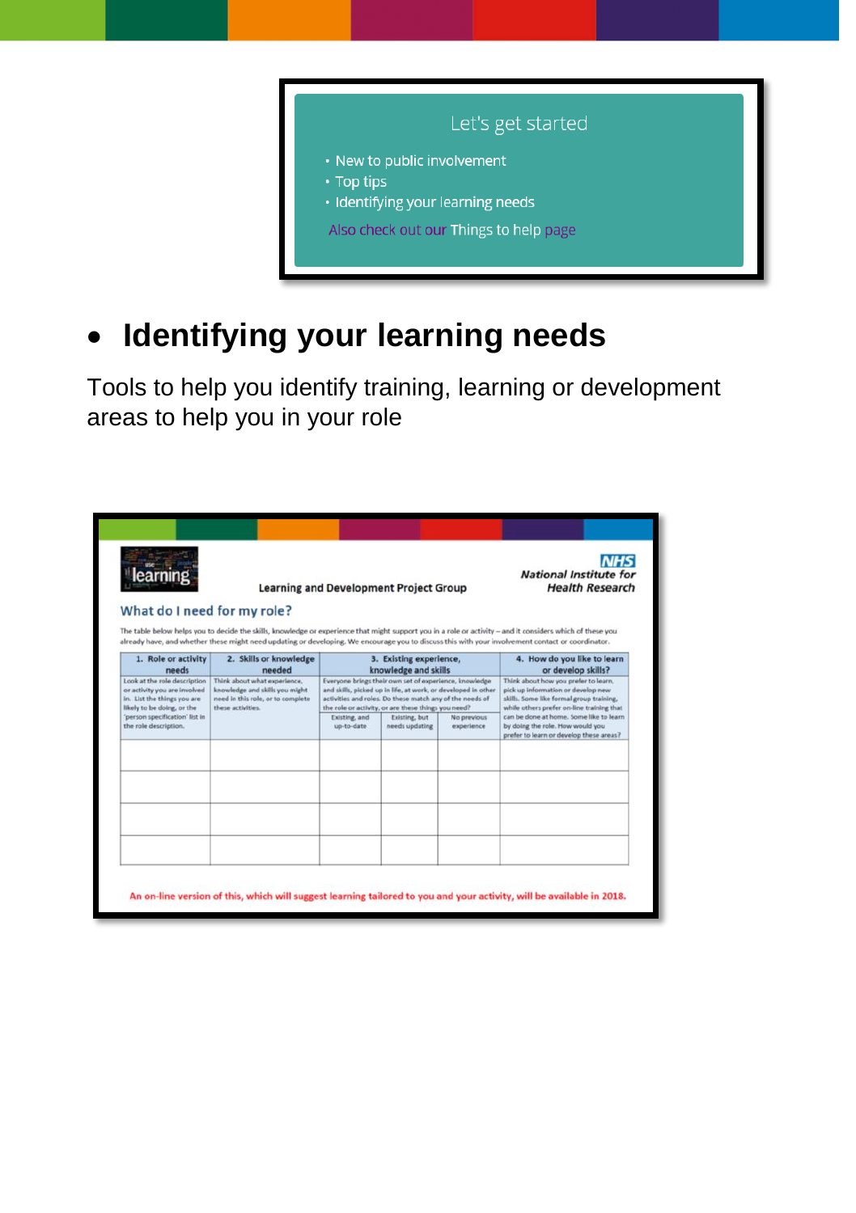

**Identifying your learning needs**

Tools to help you identify training, learning or development areas to help you in your role

| learnır<br><b>Learning and Development Project Group</b><br>What do I need for my role?<br>The table below helps you to decide the skills, knowledge or experience that might support you in a role or activity - and it considers which of these you |                                                                                                                           |                                                                                                                                                                                                                                                                                                                                                                                                                                                                                                                                                   |  |  | <b>National Institute for</b><br><b>Health Research</b>                                                                                                                                                                                                                                                                                            |  |
|-------------------------------------------------------------------------------------------------------------------------------------------------------------------------------------------------------------------------------------------------------|---------------------------------------------------------------------------------------------------------------------------|---------------------------------------------------------------------------------------------------------------------------------------------------------------------------------------------------------------------------------------------------------------------------------------------------------------------------------------------------------------------------------------------------------------------------------------------------------------------------------------------------------------------------------------------------|--|--|----------------------------------------------------------------------------------------------------------------------------------------------------------------------------------------------------------------------------------------------------------------------------------------------------------------------------------------------------|--|
| 1. Role or activity<br>needs                                                                                                                                                                                                                          | 2. Skills or knowledge<br>needed                                                                                          | already have, and whether these might need updating or developing. We encourage you to discuss this with your involvement contact or coordinator.<br>3. Existing experience,<br>knowledge and skills<br>Everyone brings their own set of experience, knowledge<br>and skills, picked up in life, at work, or developed in other<br>activities and roles. Do these match any of the needs of<br>the role or activity, or are these things you need?<br>Existing, and<br>Existing, but<br>No previous<br>up-to-date<br>needs updating<br>experience |  |  | 4. How do you like to learn<br>or develop skills?<br>Think about how you prefer to learn,<br>pick up information or develop new<br>skills. Some like formal group training,<br>while others prefer on-line training that<br>can be done at home. Some like to learn<br>by doing the role. How would you<br>prefer to learn or develop these areas? |  |
| Look at the role description<br>or activity you are involved<br>in. List the things you are<br>likely to be doing, or the<br>'person specification' list in<br>the role description.                                                                  | Think about what experience.<br>knowledge and skills you might.<br>need in this role, or to complete<br>these activities. |                                                                                                                                                                                                                                                                                                                                                                                                                                                                                                                                                   |  |  |                                                                                                                                                                                                                                                                                                                                                    |  |
|                                                                                                                                                                                                                                                       |                                                                                                                           |                                                                                                                                                                                                                                                                                                                                                                                                                                                                                                                                                   |  |  |                                                                                                                                                                                                                                                                                                                                                    |  |
|                                                                                                                                                                                                                                                       |                                                                                                                           |                                                                                                                                                                                                                                                                                                                                                                                                                                                                                                                                                   |  |  |                                                                                                                                                                                                                                                                                                                                                    |  |
|                                                                                                                                                                                                                                                       |                                                                                                                           |                                                                                                                                                                                                                                                                                                                                                                                                                                                                                                                                                   |  |  |                                                                                                                                                                                                                                                                                                                                                    |  |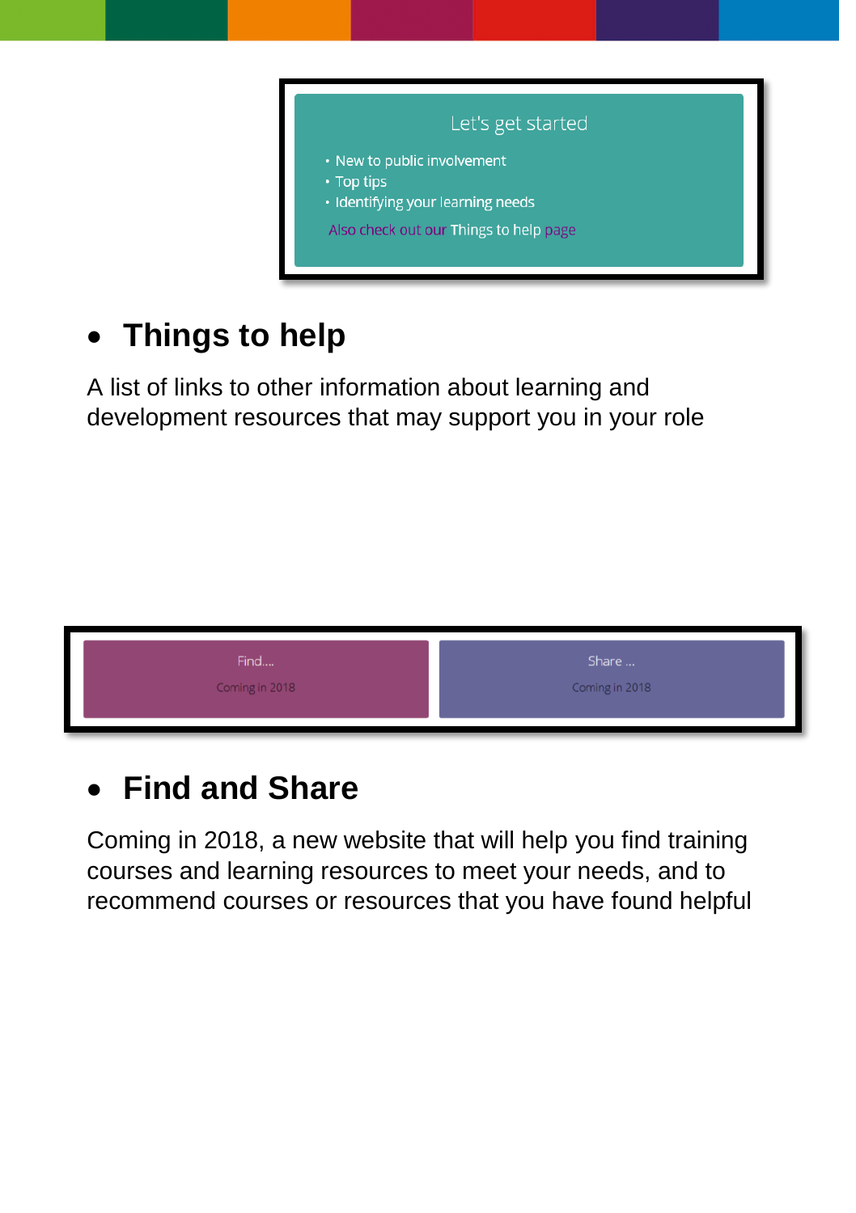

## **Things to help**

A list of links to other information about learning and development resources that may support you in your role



### **Find and Share**

Coming in 2018, a new website that will help you find training courses and learning resources to meet your needs, and to recommend courses or resources that you have found helpful